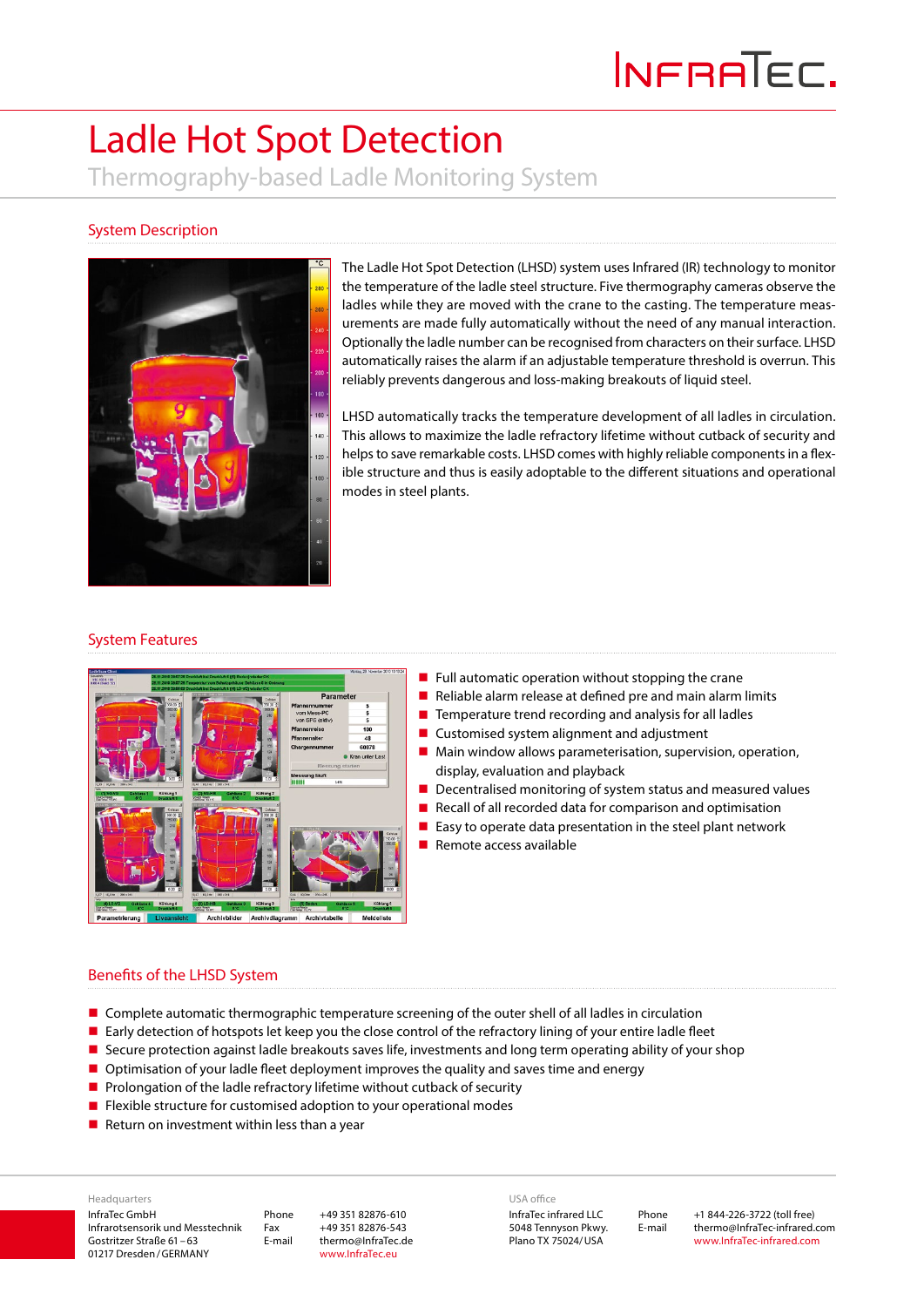# Ladle Hot Spot Detection Thermography-based Ladle Monitoring System

# System Description



The Ladle Hot Spot Detection (LHSD) system uses Infrared (IR) technology to monitor the temperature of the ladle steel structure. Five thermography cameras observe the ladles while they are moved with the crane to the casting. The temperature measurements are made fully automatically without the need of any manual interaction. Optionally the ladle number can be recognised from characters on their surface. LHSD automatically raises the alarm if an adjustable temperature threshold is overrun. This reliably prevents dangerous and loss-making breakouts of liquid steel.

LHSD automatically tracks the temperature development of all ladles in circulation. This allows to maximize the ladle refractory lifetime without cutback of security and helps to save remarkable costs. LHSD comes with highly reliable components in a flexible structure and thus is easily adoptable to the different situations and operational modes in steel plants.

#### System Features



- $\blacksquare$  Full automatic operation without stopping the crane
- Reliable alarm release at defined pre and main alarm limits
- $\blacksquare$  Temperature trend recording and analysis for all ladles
- Customised system alignment and adjustment
- **Main window allows parameterisation, supervision, operation,** display, evaluation and playback
- Decentralised monitoring of system status and measured values
- Recall of all recorded data for comparison and optimisation
- $\blacksquare$  Easy to operate data presentation in the steel plant network
- $\blacksquare$  Remote access available

#### Benefits of the LHSD System

- **Complete automatic thermographic temperature screening of the outer shell of all ladles in circulation**
- **Early detection of hotspots let keep you the close control of the refractory lining of your entire ladle fleet**
- Secure protection against ladle breakouts saves life, investments and long term operating ability of your shop
- **D** Optimisation of your ladle fleet deployment improves the quality and saves time and energy
- $\blacksquare$  Prolongation of the ladle refractory lifetime without cutback of security
- **Filexible structure for customised adoption to your operational modes**
- Return on investment within less than a year

InfraTec GmbH Infrarotsensorik und Messtechnik Gostritzer Straße 61–63 01217 Dresden/GERMANY Headquarters

Phone +49 351 82876-610 Fax +49 351 82876-543 E-mail thermo@InfraTec.de www.InfraTec.eu

USA office

InfraTec infrared LLC 5048 Tennyson Pkwy. Plano TX 75024/USA

Phone +1 844-226-3722 (toll free) E-mail thermo@InfraTec-infrared.com www.InfraTec-infrared.com